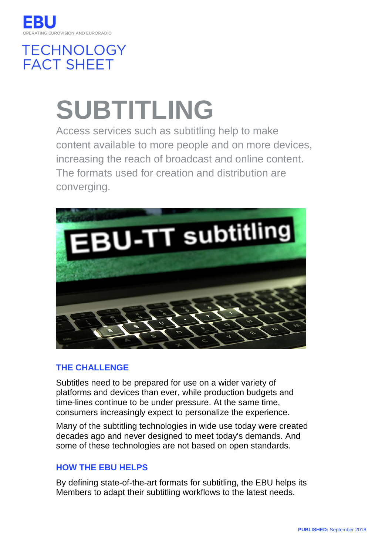

# **TECHNOLOGY FACT SHEET**

# **SUBTITLING**

Access services such as subtitling help to make content available to more people and on more devices, increasing the reach of broadcast and online content. The formats used for creation and distribution are converging.



## **THE CHALLENGE**

Subtitles need to be prepared for use on a wider variety of platforms and devices than ever, while production budgets and time-lines continue to be under pressure. At the same time, consumers increasingly expect to personalize the experience.

Many of the subtitling technologies in wide use today were created decades ago and never designed to meet today's demands. And some of these technologies are not based on open standards.

## **HOW THE EBU HELPS**

By defining state-of-the-art formats for subtitling, the EBU helps its Members to adapt their subtitling workflows to the latest needs.